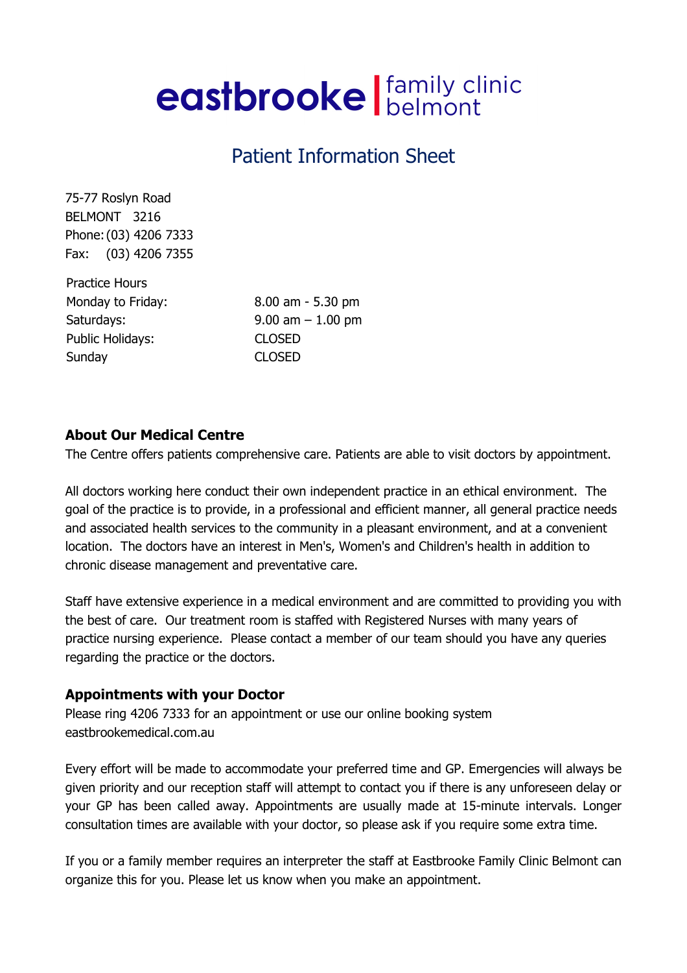# eastbrooke | family clinic

## Patient Information Sheet

75-77 Roslyn Road BELMONT 3216 Phone: (03) 4206 7333 Fax: (03) 4206 7355

Practice Hours Monday to Friday: 8.00 am - 5.30 pm Saturdays: 9.00 am – 1.00 pm Public Holidays: CLOSED Sunday CLOSED

#### About Our Medical Centre

The Centre offers patients comprehensive care. Patients are able to visit doctors by appointment.

All doctors working here conduct their own independent practice in an ethical environment. The goal of the practice is to provide, in a professional and efficient manner, all general practice needs and associated health services to the community in a pleasant environment, and at a convenient location. The doctors have an interest in Men's, Women's and Children's health in addition to chronic disease management and preventative care.

Staff have extensive experience in a medical environment and are committed to providing you with the best of care. Our treatment room is staffed with Registered Nurses with many years of practice nursing experience. Please contact a member of our team should you have any queries regarding the practice or the doctors.

#### Appointments with your Doctor

Please ring 4206 7333 for an appointment or use our online booking system eastbrookemedical.com.au

Every effort will be made to accommodate your preferred time and GP. Emergencies will always be given priority and our reception staff will attempt to contact you if there is any unforeseen delay or your GP has been called away. Appointments are usually made at 15-minute intervals. Longer consultation times are available with your doctor, so please ask if you require some extra time.

If you or a family member requires an interpreter the staff at Eastbrooke Family Clinic Belmont can organize this for you. Please let us know when you make an appointment.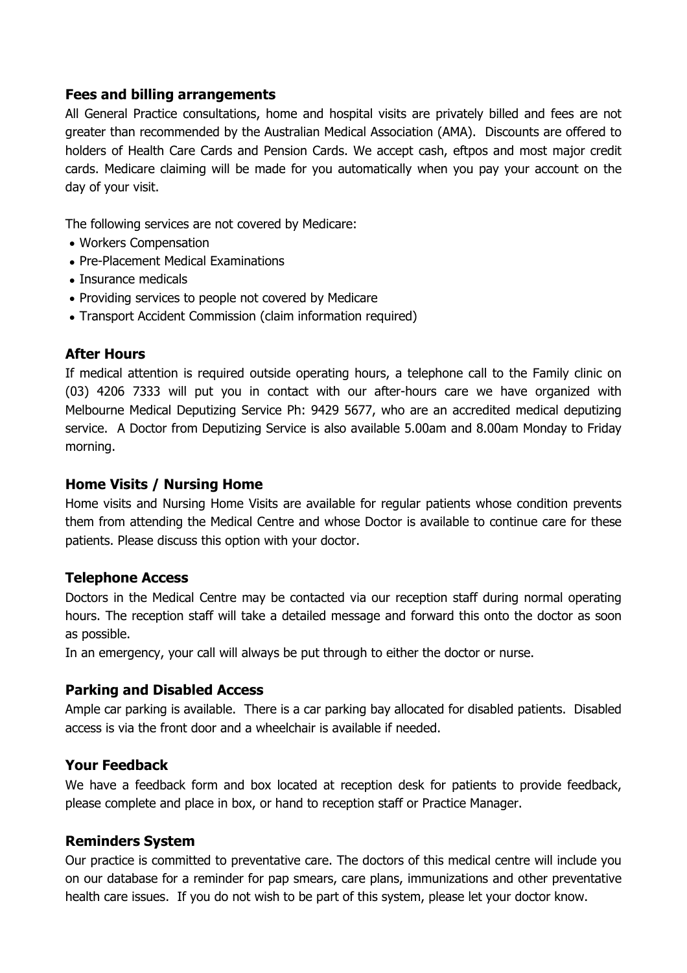#### Fees and billing arrangements

All General Practice consultations, home and hospital visits are privately billed and fees are not greater than recommended by the Australian Medical Association (AMA). Discounts are offered to holders of Health Care Cards and Pension Cards. We accept cash, eftpos and most major credit cards. Medicare claiming will be made for you automatically when you pay your account on the day of your visit.

The following services are not covered by Medicare:

- Workers Compensation
- Pre-Placement Medical Examinations
- Insurance medicals
- Providing services to people not covered by Medicare
- Transport Accident Commission (claim information required)

#### After Hours

If medical attention is required outside operating hours, a telephone call to the Family clinic on (03) 4206 7333 will put you in contact with our after-hours care we have organized with Melbourne Medical Deputizing Service Ph: 9429 5677, who are an accredited medical deputizing service. A Doctor from Deputizing Service is also available 5.00am and 8.00am Monday to Friday morning.

#### Home Visits / Nursing Home

Home visits and Nursing Home Visits are available for regular patients whose condition prevents them from attending the Medical Centre and whose Doctor is available to continue care for these patients. Please discuss this option with your doctor.

#### Telephone Access

Doctors in the Medical Centre may be contacted via our reception staff during normal operating hours. The reception staff will take a detailed message and forward this onto the doctor as soon as possible.

In an emergency, your call will always be put through to either the doctor or nurse.

#### Parking and Disabled Access

Ample car parking is available. There is a car parking bay allocated for disabled patients. Disabled access is via the front door and a wheelchair is available if needed.

#### Your Feedback

We have a feedback form and box located at reception desk for patients to provide feedback, please complete and place in box, or hand to reception staff or Practice Manager.

#### Reminders System

Our practice is committed to preventative care. The doctors of this medical centre will include you on our database for a reminder for pap smears, care plans, immunizations and other preventative health care issues. If you do not wish to be part of this system, please let your doctor know.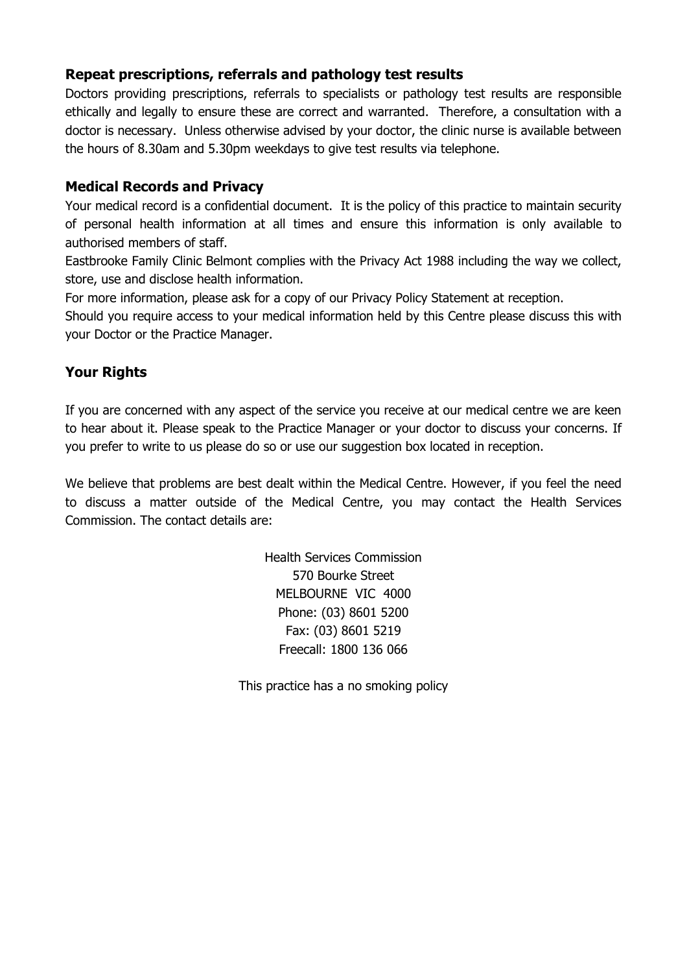#### Repeat prescriptions, referrals and pathology test results

Doctors providing prescriptions, referrals to specialists or pathology test results are responsible ethically and legally to ensure these are correct and warranted. Therefore, a consultation with a doctor is necessary. Unless otherwise advised by your doctor, the clinic nurse is available between the hours of 8.30am and 5.30pm weekdays to give test results via telephone.

#### Medical Records and Privacy

Your medical record is a confidential document. It is the policy of this practice to maintain security of personal health information at all times and ensure this information is only available to authorised members of staff.

Eastbrooke Family Clinic Belmont complies with the Privacy Act 1988 including the way we collect, store, use and disclose health information.

For more information, please ask for a copy of our Privacy Policy Statement at reception.

Should you require access to your medical information held by this Centre please discuss this with your Doctor or the Practice Manager.

#### Your Rights

If you are concerned with any aspect of the service you receive at our medical centre we are keen to hear about it. Please speak to the Practice Manager or your doctor to discuss your concerns. If you prefer to write to us please do so or use our suggestion box located in reception.

We believe that problems are best dealt within the Medical Centre. However, if you feel the need to discuss a matter outside of the Medical Centre, you may contact the Health Services Commission. The contact details are:

> Health Services Commission 570 Bourke Street MELBOURNE VIC 4000 Phone: (03) 8601 5200 Fax: (03) 8601 5219 Freecall: 1800 136 066

This practice has a no smoking policy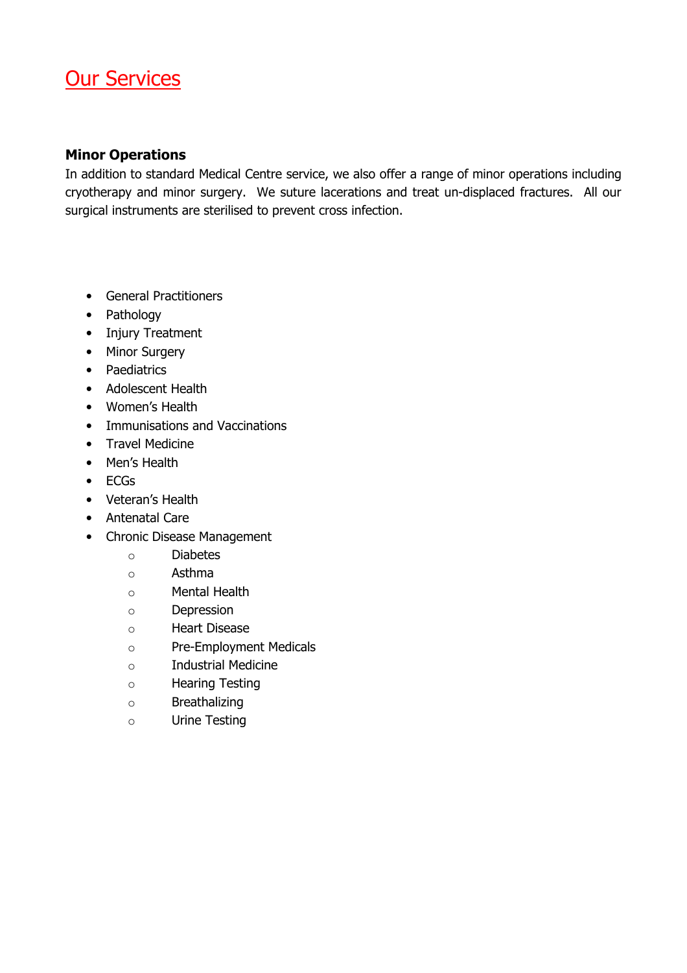## Our Services

#### Minor Operations

In addition to standard Medical Centre service, we also offer a range of minor operations including cryotherapy and minor surgery. We suture lacerations and treat un-displaced fractures. All our surgical instruments are sterilised to prevent cross infection.

- General Practitioners
- Pathology
- Injury Treatment
- Minor Surgery
- Paediatrics
- Adolescent Health
- Women's Health
- Immunisations and Vaccinations
- Travel Medicine
- Men's Health
- ECGs
- Veteran's Health
- Antenatal Care
- Chronic Disease Management
	- o Diabetes
	- o Asthma
	- o Mental Health
	- o Depression
	- o Heart Disease
	- o Pre-Employment Medicals
	- o Industrial Medicine
	- o Hearing Testing
	- o Breathalizing
	- o Urine Testing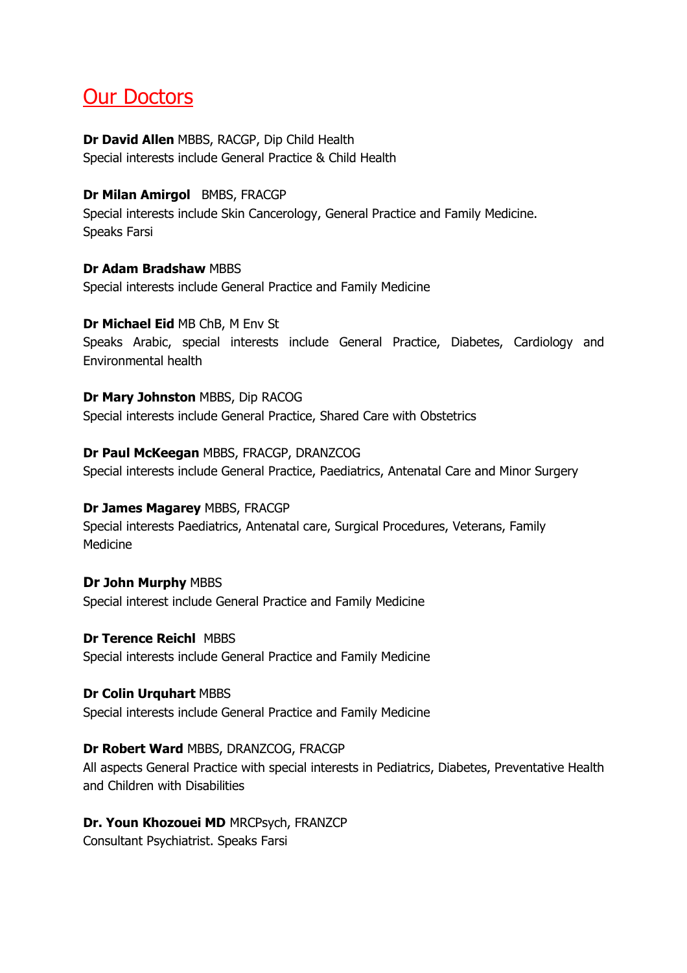## Our Doctors

#### Dr David Allen MBBS, RACGP, Dip Child Health Special interests include General Practice & Child Health

#### Dr Milan Amirgol BMBS, FRACGP

Special interests include Skin Cancerology, General Practice and Family Medicine. Speaks Farsi

Dr Adam Bradshaw MBBS Special interests include General Practice and Family Medicine

#### Dr Michael Eid MB ChB, M Env St

Speaks Arabic, special interests include General Practice, Diabetes, Cardiology and Environmental health

Dr Mary Johnston MBBS, Dip RACOG Special interests include General Practice, Shared Care with Obstetrics

#### Dr Paul McKeegan MBBS, FRACGP, DRANZCOG

Special interests include General Practice, Paediatrics, Antenatal Care and Minor Surgery

#### Dr James Magarey MBBS, FRACGP

Special interests Paediatrics, Antenatal care, Surgical Procedures, Veterans, Family Medicine

#### Dr John Murphy MBBS

Special interest include General Practice and Family Medicine

#### Dr Terence Reichl MBBS

Special interests include General Practice and Family Medicine

#### Dr Colin Urquhart MBBS

Special interests include General Practice and Family Medicine

#### Dr Robert Ward MBBS, DRANZCOG, FRACGP

All aspects General Practice with special interests in Pediatrics, Diabetes, Preventative Health and Children with Disabilities

#### Dr. Youn Khozouei MD MRCPsych, FRANZCP

Consultant Psychiatrist. Speaks Farsi